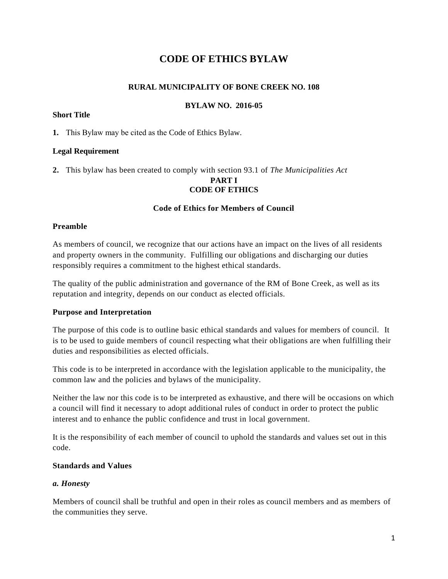# **CODE OF ETHICS BYLAW**

### **RURAL MUNICIPALITY OF BONE CREEK NO. 108**

### **BYLAW NO. 2016-05**

### **Short Title**

**1.** This Bylaw may be cited as the Code of Ethics Bylaw.

### **Legal Requirement**

**2.** This bylaw has been created to comply with section 93.1 of *The Municipalities Act*

#### **PART I CODE OF ETHICS**

### **Code of Ethics for Members of Council**

#### **Preamble**

As members of council, we recognize that our actions have an impact on the lives of all residents and property owners in the community. Fulfilling our obligations and discharging our duties responsibly requires a commitment to the highest ethical standards.

The quality of the public administration and governance of the RM of Bone Creek, as well as its reputation and integrity, depends on our conduct as elected officials.

### **Purpose and Interpretation**

The purpose of this code is to outline basic ethical standards and values for members of council. It is to be used to guide members of council respecting what their obligations are when fulfilling their duties and responsibilities as elected officials.

This code is to be interpreted in accordance with the legislation applicable to the municipality, the common law and the policies and bylaws of the municipality.

Neither the law nor this code is to be interpreted as exhaustive, and there will be occasions on which a council will find it necessary to adopt additional rules of conduct in order to protect the public interest and to enhance the public confidence and trust in local government.

It is the responsibility of each member of council to uphold the standards and values set out in this code.

### **Standards and Values**

#### *a. Honesty*

Members of council shall be truthful and open in their roles as council members and as members of the communities they serve.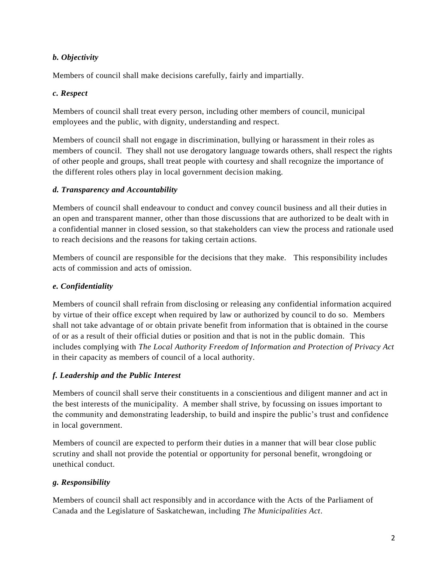### *b. Objectivity*

Members of council shall make decisions carefully, fairly and impartially.

### *c. Respect*

Members of council shall treat every person, including other members of council, municipal employees and the public, with dignity, understanding and respect.

Members of council shall not engage in discrimination, bullying or harassment in their roles as members of council. They shall not use derogatory language towards others, shall respect the rights of other people and groups, shall treat people with courtesy and shall recognize the importance of the different roles others play in local government decision making.

### *d. Transparency and Accountability*

Members of council shall endeavour to conduct and convey council business and all their duties in an open and transparent manner, other than those discussions that are authorized to be dealt with in a confidential manner in closed session, so that stakeholders can view the process and rationale used to reach decisions and the reasons for taking certain actions.

Members of council are responsible for the decisions that they make. This responsibility includes acts of commission and acts of omission.

## *e. Confidentiality*

Members of council shall refrain from disclosing or releasing any confidential information acquired by virtue of their office except when required by law or authorized by council to do so. Members shall not take advantage of or obtain private benefit from information that is obtained in the course of or as a result of their official duties or position and that is not in the public domain. This includes complying with *The Local Authority Freedom of Information and Protection of Privacy Act*  in their capacity as members of council of a local authority.

## *f. Leadership and the Public Interest*

Members of council shall serve their constituents in a conscientious and diligent manner and act in the best interests of the municipality. A member shall strive, by focussing on issues important to the community and demonstrating leadership, to build and inspire the public's trust and confidence in local government.

Members of council are expected to perform their duties in a manner that will bear close public scrutiny and shall not provide the potential or opportunity for personal benefit, wrongdoing or unethical conduct.

## *g. Responsibility*

Members of council shall act responsibly and in accordance with the Acts of the Parliament of Canada and the Legislature of Saskatchewan, including *The Municipalities Act*.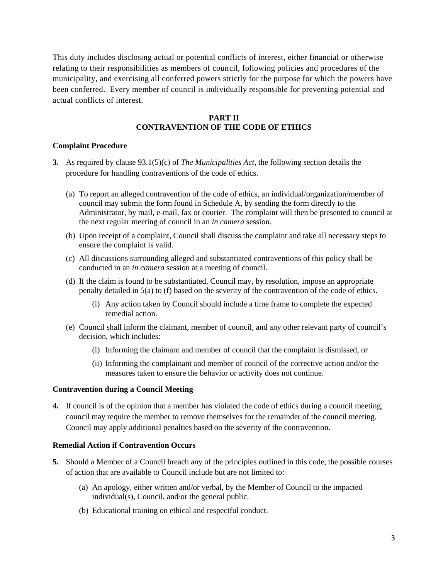This duty includes disclosing actual or potential conflicts of interest, either financial or otherwise relating to their responsibilities as members of council, following policies and procedures of the municipality, and exercising all conferred powers strictly for the purpose for which the powers have been conferred. Every member of council is individually responsible for preventing potential and actual conflicts of interest.

#### **PART II CONTRAVENTION OF THE CODE OF ETHICS**

#### **Complaint Procedure**

- **3.** As required by clause 93.1(5)(c) of *The Municipalities Act*, the following section details the procedure for handling contraventions of the code of ethics.
	- (a) To report an alleged contravention of the code of ethics, an individual/organization/member of council may submit the form found in Schedule A, by sending the form directly to the Administrator, by mail, e-mail, fax or courier. The complaint will then be presented to council at the next regular meeting of council in an *in camera* session.
	- (b) Upon receipt of a complaint, Council shall discuss the complaint and take all necessary steps to ensure the complaint is valid.
	- (c) All discussions surrounding alleged and substantiated contraventions of this policy shall be conducted in an *in camera* session at a meeting of council.
	- (d) If the claim is found to be substantiated, Council may, by resolution, impose an appropriate penalty detailed in 5(a) to (f) based on the severity of the contravention of the code of ethics.
		- (i) Any action taken by Council should include a time frame to complete the expected remedial action.
	- (e) Council shall inform the claimant, member of council, and any other relevant party of council's decision, which includes:
		- (i) Informing the claimant and member of council that the complaint is dismissed, or
		- (ii) Informing the complainant and member of council of the corrective action and/or the measures taken to ensure the behavior or activity does not continue.

#### **Contravention during a Council Meeting**

**4.** If council is of the opinion that a member has violated the code of ethics during a council meeting, council may require the member to remove themselves for the remainder of the council meeting. Council may apply additional penalties based on the severity of the contravention.

#### **Remedial Action if Contravention Occurs**

- **5.** Should a Member of a Council breach any of the principles outlined in this code, the possible courses of action that are available to Council include but are not limited to:
	- (a) An apology, either written and/or verbal, by the Member of Council to the impacted individual(s), Council, and/or the general public.
	- (b) Educational training on ethical and respectful conduct.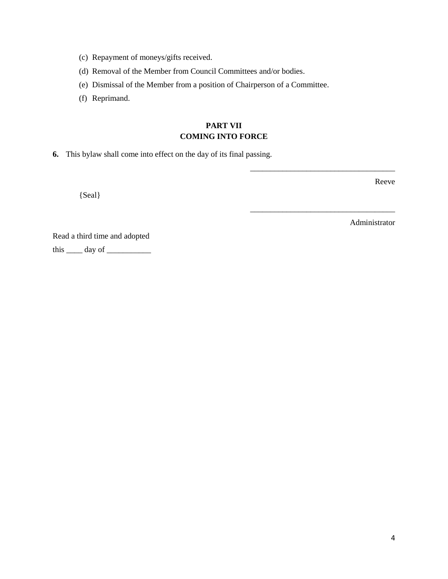- (c) Repayment of moneys/gifts received.
- (d) Removal of the Member from Council Committees and/or bodies.
- (e) Dismissal of the Member from a position of Chairperson of a Committee.
- (f) Reprimand.

### **PART VII COMING INTO FORCE**

**6.** This bylaw shall come into effect on the day of its final passing.

{Seal}

Reeve

Administrator

\_\_\_\_\_\_\_\_\_\_\_\_\_\_\_\_\_\_\_\_\_\_\_\_\_\_\_\_\_\_\_\_\_\_\_\_

\_\_\_\_\_\_\_\_\_\_\_\_\_\_\_\_\_\_\_\_\_\_\_\_\_\_\_\_\_\_\_\_\_\_\_\_

Read a third time and adopted this  $\_\_\_\$  day of  $\_\_\_\_\_\_\_\_\$